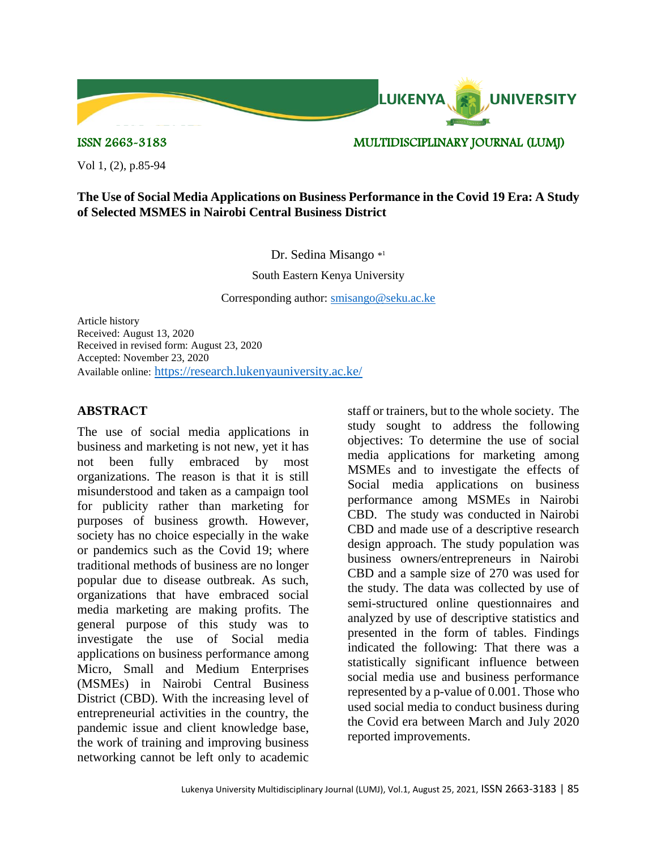

ISSN 2663-3183 MULTIDISCIPLINARY JOURNAL (LUMJ)

Vol 1, (2), p.85-94

## **The Use of Social Media Applications on Business Performance in the Covid 19 Era: A Study of Selected MSMES in Nairobi Central Business District**

#### Dr. Sedina Misango \*1

South Eastern Kenya University

Corresponding author: [smisango@seku.ac.ke](mailto:smisango@seku.ac.ke)

Article history Received: August 13, 2020 Received in revised form: August 23, 2020 Accepted: November 23, 2020 Available online: <https://research.lukenyauniversity.ac.ke/>

## **ABSTRACT**

The use of social media applications in business and marketing is not new, yet it has not been fully embraced by most organizations. The reason is that it is still misunderstood and taken as a campaign tool for publicity rather than marketing for purposes of business growth. However, society has no choice especially in the wake or pandemics such as the Covid 19; where traditional methods of business are no longer popular due to disease outbreak. As such, organizations that have embraced social media marketing are making profits. The general purpose of this study was to investigate the use of Social media applications on business performance among Micro, Small and Medium Enterprises (MSMEs) in Nairobi Central Business District (CBD). With the increasing level of entrepreneurial activities in the country, the pandemic issue and client knowledge base, the work of training and improving business networking cannot be left only to academic

staff or trainers, but to the whole society. The study sought to address the following objectives: To determine the use of social media applications for marketing among MSMEs and to investigate the effects of Social media applications on business performance among MSMEs in Nairobi CBD. The study was conducted in Nairobi CBD and made use of a descriptive research design approach. The study population was business owners/entrepreneurs in Nairobi CBD and a sample size of 270 was used for the study. The data was collected by use of semi-structured online questionnaires and analyzed by use of descriptive statistics and presented in the form of tables. Findings indicated the following: That there was a statistically significant influence between social media use and business performance represented by a p-value of 0.001. Those who used social media to conduct business during the Covid era between March and July 2020 reported improvements.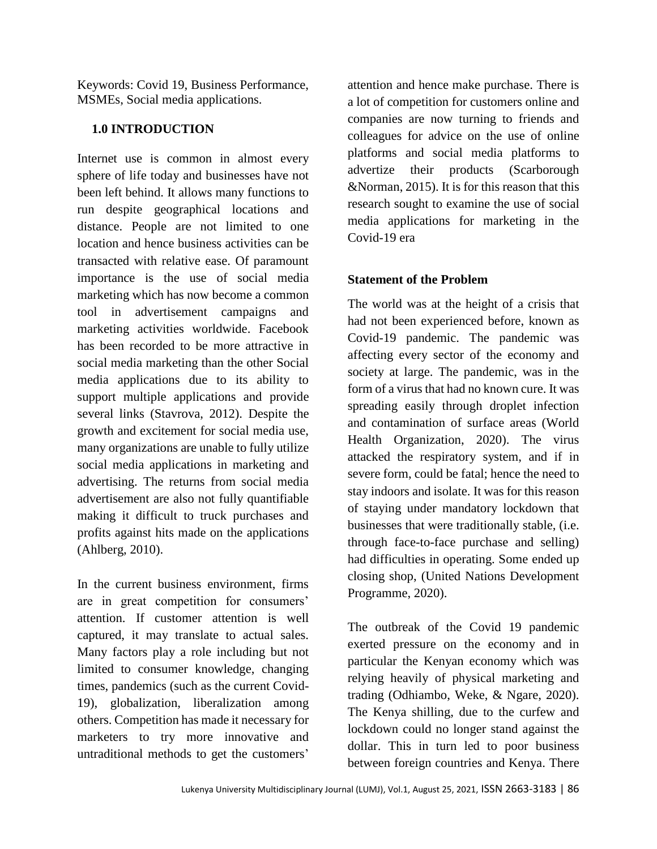Keywords: Covid 19, Business Performance, MSMEs, Social media applications.

## **1.0 INTRODUCTION**

Internet use is common in almost every sphere of life today and businesses have not been left behind. It allows many functions to run despite geographical locations and distance. People are not limited to one location and hence business activities can be transacted with relative ease. Of paramount importance is the use of social media marketing which has now become a common tool in advertisement campaigns and marketing activities worldwide. Facebook has been recorded to be more attractive in social media marketing than the other Social media applications due to its ability to support multiple applications and provide several links (Stavrova, 2012). Despite the growth and excitement for social media use, many organizations are unable to fully utilize social media applications in marketing and advertising. The returns from social media advertisement are also not fully quantifiable making it difficult to truck purchases and profits against hits made on the applications (Ahlberg, 2010).

In the current business environment, firms are in great competition for consumers' attention. If customer attention is well captured, it may translate to actual sales. Many factors play a role including but not limited to consumer knowledge, changing times, pandemics (such as the current Covid-19), globalization, liberalization among others. Competition has made it necessary for marketers to try more innovative and untraditional methods to get the customers'

attention and hence make purchase. There is a lot of competition for customers online and companies are now turning to friends and colleagues for advice on the use of online platforms and social media platforms to advertize their products (Scarborough &Norman, 2015). It is for this reason that this research sought to examine the use of social media applications for marketing in the Covid-19 era

# **Statement of the Problem**

The world was at the height of a crisis that had not been experienced before, known as Covid-19 pandemic. The pandemic was affecting every sector of the economy and society at large. The pandemic, was in the form of a virus that had no known cure. It was spreading easily through droplet infection and contamination of surface areas (World Health Organization, 2020). The virus attacked the respiratory system, and if in severe form, could be fatal; hence the need to stay indoors and isolate. It was for this reason of staying under mandatory lockdown that businesses that were traditionally stable, (i.e. through face-to-face purchase and selling) had difficulties in operating. Some ended up closing shop, (United Nations Development Programme, 2020).

The outbreak of the Covid 19 pandemic exerted pressure on the economy and in particular the Kenyan economy which was relying heavily of physical marketing and trading (Odhiambo, Weke, & Ngare, 2020). The Kenya shilling, due to the curfew and lockdown could no longer stand against the dollar. This in turn led to poor business between foreign countries and Kenya. There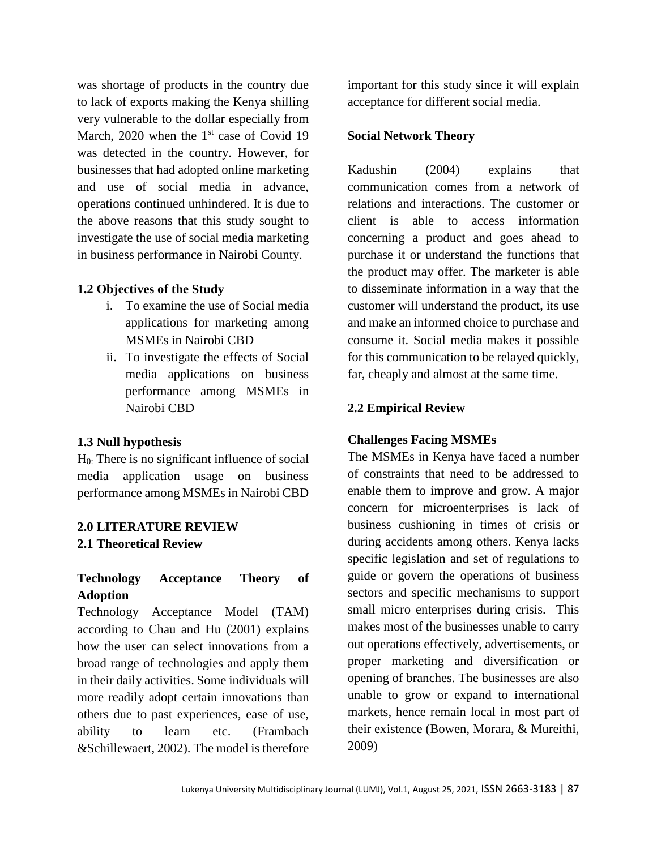was shortage of products in the country due to lack of exports making the Kenya shilling very vulnerable to the dollar especially from March,  $2020$  when the 1<sup>st</sup> case of Covid 19 was detected in the country. However, for businesses that had adopted online marketing and use of social media in advance, operations continued unhindered. It is due to the above reasons that this study sought to investigate the use of social media marketing in business performance in Nairobi County.

#### **1.2 Objectives of the Study**

- i. To examine the use of Social media applications for marketing among MSMEs in Nairobi CBD
- ii. To investigate the effects of Social media applications on business performance among MSMEs in Nairobi CBD

## **1.3 Null hypothesis**

 $H<sub>0</sub>$ : There is no significant influence of social media application usage on business performance among MSMEs in Nairobi CBD

# **2.0 LITERATURE REVIEW 2.1 Theoretical Review**

## **Technology Acceptance Theory of Adoption**

Technology Acceptance Model (TAM) according to Chau and Hu (2001) explains how the user can select innovations from a broad range of technologies and apply them in their daily activities. Some individuals will more readily adopt certain innovations than others due to past experiences, ease of use, ability to learn etc. (Frambach &Schillewaert, 2002). The model is therefore important for this study since it will explain acceptance for different social media.

#### **Social Network Theory**

Kadushin (2004) explains that communication comes from a network of relations and interactions. The customer or client is able to access information concerning a product and goes ahead to purchase it or understand the functions that the product may offer. The marketer is able to disseminate information in a way that the customer will understand the product, its use and make an informed choice to purchase and consume it. Social media makes it possible for this communication to be relayed quickly, far, cheaply and almost at the same time.

#### **2.2 Empirical Review**

#### **Challenges Facing MSMEs**

The MSMEs in Kenya have faced a number of constraints that need to be addressed to enable them to improve and grow. A major concern for microenterprises is lack of business cushioning in times of crisis or during accidents among others. Kenya lacks specific legislation and set of regulations to guide or govern the operations of business sectors and specific mechanisms to support small micro enterprises during crisis. This makes most of the businesses unable to carry out operations effectively, advertisements, or proper marketing and diversification or opening of branches. The businesses are also unable to grow or expand to international markets, hence remain local in most part of their existence (Bowen, Morara, & Mureithi, 2009)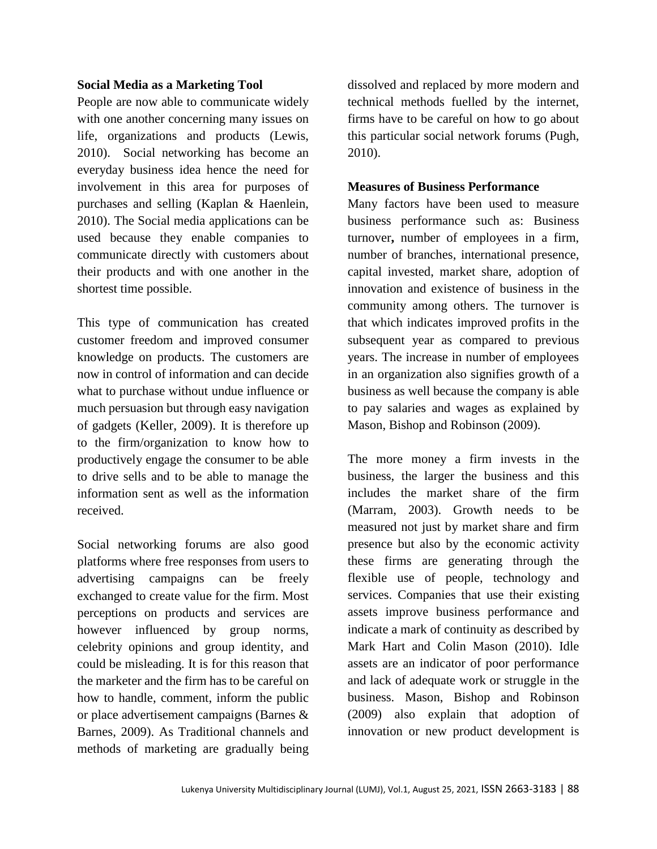## **Social Media as a Marketing Tool**

People are now able to communicate widely with one another concerning many issues on life, organizations and products (Lewis, 2010). Social networking has become an everyday business idea hence the need for involvement in this area for purposes of purchases and selling (Kaplan & Haenlein, 2010). The Social media applications can be used because they enable companies to communicate directly with customers about their products and with one another in the shortest time possible.

This type of communication has created customer freedom and improved consumer knowledge on products. The customers are now in control of information and can decide what to purchase without undue influence or much persuasion but through easy navigation of gadgets (Keller, 2009). It is therefore up to the firm/organization to know how to productively engage the consumer to be able to drive sells and to be able to manage the information sent as well as the information received.

Social networking forums are also good platforms where free responses from users to advertising campaigns can be freely exchanged to create value for the firm. Most perceptions on products and services are however influenced by group norms, celebrity opinions and group identity, and could be misleading. It is for this reason that the marketer and the firm has to be careful on how to handle, comment, inform the public or place advertisement campaigns (Barnes & Barnes, 2009). As Traditional channels and methods of marketing are gradually being

dissolved and replaced by more modern and technical methods fuelled by the internet, firms have to be careful on how to go about this particular social network forums (Pugh, 2010).

#### **Measures of Business Performance**

Many factors have been used to measure business performance such as: Business turnover**,** number of employees in a firm, number of branches, international presence, capital invested, market share, adoption of innovation and existence of business in the community among others. The turnover is that which indicates improved profits in the subsequent year as compared to previous years. The increase in number of employees in an organization also signifies growth of a business as well because the company is able to pay salaries and wages as explained by Mason, Bishop and Robinson (2009).

The more money a firm invests in the business, the larger the business and this includes the market share of the firm (Marram, 2003). Growth needs to be measured not just by market share and firm presence but also by the economic activity these firms are generating through the flexible use of people, technology and services. Companies that use their existing assets improve business performance and indicate a mark of continuity as described by Mark Hart and Colin Mason (2010). Idle assets are an indicator of poor performance and lack of adequate work or struggle in the business. Mason, Bishop and Robinson (2009) also explain that adoption of innovation or new product development is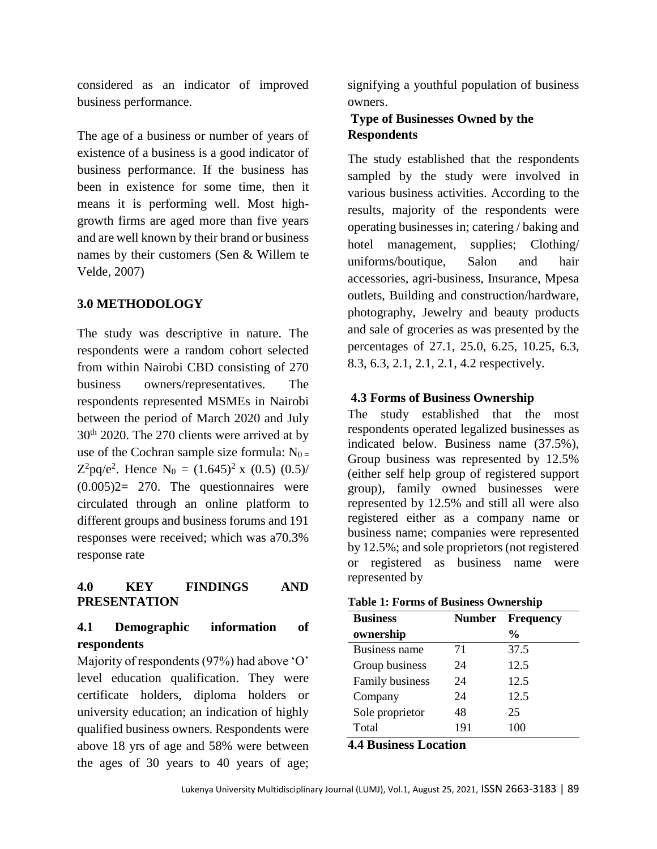considered as an indicator of improved business performance.

The age of a business or number of years of existence of a business is a good indicator of business performance. If the business has been in existence for some time, then it means it is performing well. Most highgrowth firms are aged more than five years and are well known by their brand or business names by their customers (Sen & Willem te Velde, 2007)

# **3.0 METHODOLOGY**

The study was descriptive in nature. The respondents were a random cohort selected from within Nairobi CBD consisting of 270 business owners/representatives. The respondents represented MSMEs in Nairobi between the period of March 2020 and July 30th 2020. The 270 clients were arrived at by use of the Cochran sample size formula:  $N_{0}$  =  $Z^2$ pq/e<sup>2</sup>. Hence N<sub>0</sub> =  $(1.645)^2$  x  $(0.5)$   $(0.5)$ /  $(0.005)2 = 270$ . The questionnaires were circulated through an online platform to different groups and business forums and 191 responses were received; which was a70.3% response rate

# **4.0 KEY FINDINGS AND PRESENTATION**

# **4.1 Demographic information of respondents**

Majority of respondents (97%) had above 'O' level education qualification. They were certificate holders, diploma holders or university education; an indication of highly qualified business owners. Respondents were above 18 yrs of age and 58% were between the ages of 30 years to 40 years of age;

signifying a youthful population of business owners.

# **Type of Businesses Owned by the Respondents**

The study established that the respondents sampled by the study were involved in various business activities. According to the results, majority of the respondents were operating businesses in; catering / baking and hotel management, supplies; Clothing/ uniforms/boutique, Salon and hair accessories, agri-business, Insurance, Mpesa outlets, Building and construction/hardware, photography, Jewelry and beauty products and sale of groceries as was presented by the percentages of 27.1, 25.0, 6.25, 10.25, 6.3, 8.3, 6.3, 2.1, 2.1, 2.1, 4.2 respectively.

# **4.3 Forms of Business Ownership**

The study established that the most respondents operated legalized businesses as indicated below. Business name (37.5%), Group business was represented by 12.5% (either self help group of registered support group), family owned businesses were represented by 12.5% and still all were also registered either as a company name or business name; companies were represented by 12.5%; and sole proprietors (not registered or registered as business name were represented by

|  |  |  | <b>Table 1: Forms of Business Ownership</b> |
|--|--|--|---------------------------------------------|
|--|--|--|---------------------------------------------|

| <b>Business</b>      | Number | <b>Frequency</b> |
|----------------------|--------|------------------|
| ownership            |        | $\frac{0}{0}$    |
| <b>Business name</b> | 71     | 37.5             |
| Group business       | 24     | 12.5             |
| Family business      | 24     | 12.5             |
| Company              | 24     | 12.5             |
| Sole proprietor      | 48     | 25               |
| Total                | 191    | 100              |

## **4.4 Business Location**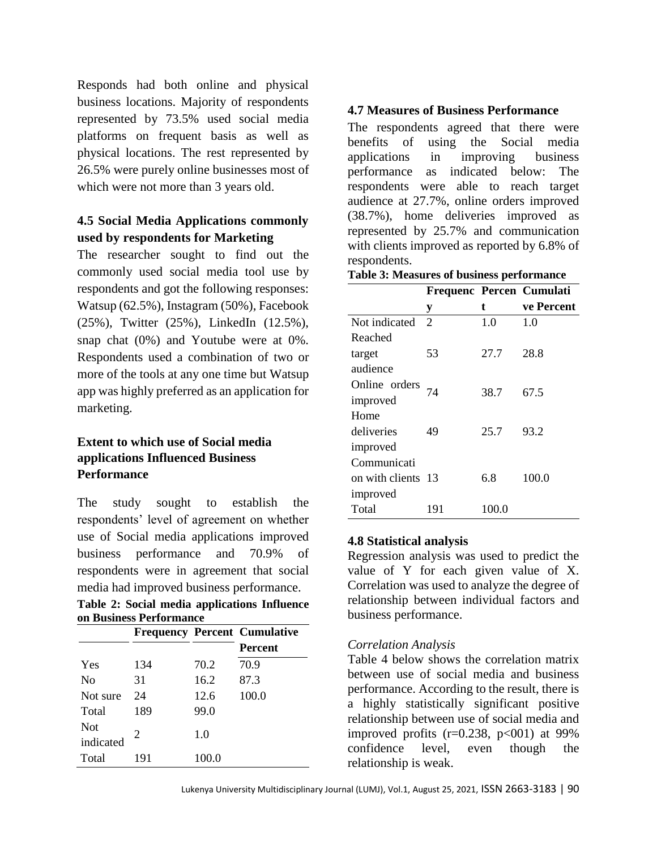Responds had both online and physical business locations. Majority of respondents represented by 73.5% used social media platforms on frequent basis as well as physical locations. The rest represented by 26.5% were purely online businesses most of which were not more than 3 years old.

# **4.5 Social Media Applications commonly used by respondents for Marketing**

The researcher sought to find out the commonly used social media tool use by respondents and got the following responses: Watsup (62.5%), Instagram (50%), Facebook (25%), Twitter (25%), LinkedIn (12.5%), snap chat (0%) and Youtube were at 0%. Respondents used a combination of two or more of the tools at any one time but Watsup app was highly preferred as an application for marketing.

# **Extent to which use of Social media applications Influenced Business Performance**

The study sought to establish the respondents' level of agreement on whether use of Social media applications improved business performance and 70.9% of respondents were in agreement that social media had improved business performance.

**Table 2: Social media applications Influence on Business Performance**

|                         |                       |       | <b>Frequency Percent Cumulative</b> |
|-------------------------|-----------------------|-------|-------------------------------------|
|                         |                       |       | <b>Percent</b>                      |
| Yes                     | 134                   | 70.2  | 70.9                                |
| $\rm No$                | 31                    | 16.2  | 87.3                                |
| Not sure                | 24                    | 12.6  | 100.0                               |
| Total                   | 189                   | 99.0  |                                     |
| <b>Not</b><br>indicated | $\mathcal{D}_{\cdot}$ | 1.0   |                                     |
| Total                   | 191                   | 100.0 |                                     |

## **4.7 Measures of Business Performance**

The respondents agreed that there were benefits of using the Social media applications in improving business performance as indicated below: The respondents were able to reach target audience at 27.7%, online orders improved (38.7%), home deliveries improved as represented by 25.7% and communication with clients improved as reported by 6.8% of respondents.

**Table 3: Measures of business performance** 

|                    |                |       | Frequenc Percen Cumulati |
|--------------------|----------------|-------|--------------------------|
|                    | у              | t     | ve Percent               |
| Not indicated      | $\overline{2}$ | 1.0   | 1.0                      |
| Reached            |                |       |                          |
| target             | 53             | 27.7  | 28.8                     |
| audience           |                |       |                          |
| Online orders      | 74             | 38.7  | 67.5                     |
| improved           |                |       |                          |
| Home               |                |       |                          |
| deliveries         | 49             | 25.7  | 93.2                     |
| improved           |                |       |                          |
| Communicati        |                |       |                          |
| on with clients 13 |                | 6.8   | 100.0                    |
| improved           |                |       |                          |
| Total              | 191            | 100.0 |                          |

## **4.8 Statistical analysis**

Regression analysis was used to predict the value of Y for each given value of X. Correlation was used to analyze the degree of relationship between individual factors and business performance.

## *Correlation Analysis*

Table 4 below shows the correlation matrix between use of social media and business performance. According to the result, there is a highly statistically significant positive relationship between use of social media and improved profits  $(r=0.238, p<001)$  at 99% confidence level, even though the relationship is weak.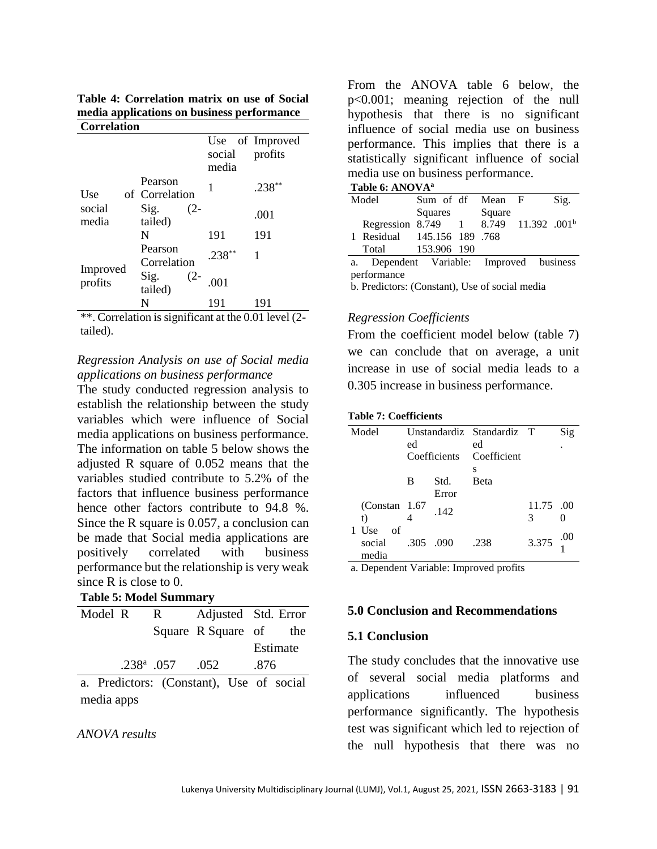**Table 4: Correlation matrix on use of Social media applications on business performance Correlation**

|                     |                             | social<br>media | Use of Improved<br>profits                                                                              |
|---------------------|-----------------------------|-----------------|---------------------------------------------------------------------------------------------------------|
| Use                 | Pearson<br>of Correlation   | 1               | .238                                                                                                    |
| social<br>media     | Sig.<br>$(2 -$<br>tailed)   |                 | .001                                                                                                    |
|                     | N                           | 191             | 191                                                                                                     |
|                     | Pearson<br>Correlation      | $.238***$       | 1                                                                                                       |
| Improved<br>profits | Sig.<br>$(2 -$<br>tailed)   | .001            |                                                                                                         |
|                     | N                           | 191             | 191                                                                                                     |
| 1.1<br>$\sim$       | $\bullet$<br>$\cdot$ $\sim$ |                 | $\mathbf{1}$ $\mathbf{1}$ $\mathbf{0}$ $\mathbf{0}$ $\mathbf{1}$ $\mathbf{1}$ $\mathbf{1}$ $\mathbf{0}$ |

\*\*. Correlation is significant at the 0.01 level (2 tailed).

## *Regression Analysis on use of Social media applications on business performance*

The study conducted regression analysis to establish the relationship between the study variables which were influence of Social media applications on business performance. The information on table 5 below shows the adjusted R square of 0.052 means that the variables studied contribute to 5.2% of the factors that influence business performance hence other factors contribute to 94.8 %. Since the R square is 0.057, a conclusion can be made that Social media applications are positively correlated with business performance but the relationship is very weak since R is close to 0.

## **Table 5: Model Summary**

| Model R |  | $\mathsf{R}$                             |      |      | Adjusted Std. Error |
|---------|--|------------------------------------------|------|------|---------------------|
|         |  | Square R Square of                       |      |      | the                 |
|         |  |                                          |      |      | Estimate            |
|         |  | $.238^{\rm a}$ .057                      | .052 | .876 |                     |
|         |  | a. Predictors: (Constant), Use of social |      |      |                     |
|         |  |                                          |      |      |                     |

media apps

#### *ANOVA results*

From the ANOVA table 6 below, the p<0.001; meaning rejection of the null hypothesis that there is no significant influence of social media use on business performance. This implies that there is a statistically significant influence of social media use on business performance.

|  |  | Table 6: ANOVAª |
|--|--|-----------------|
|--|--|-----------------|

| Model |                                                   | Sum of df Mean F |        | Sig. |
|-------|---------------------------------------------------|------------------|--------|------|
|       |                                                   | Squares          | Square |      |
|       | Regression 8.749 1 8.749 11.392 .001 <sup>b</sup> |                  |        |      |
|       | 1 Residual 145.156 189 .768                       |                  |        |      |
|       | Total                                             | 153.906 190      |        |      |
|       | a. Dependent Variable: Improved business          |                  |        |      |

performance b. Predictors: (Constant), Use of social media

#### *Regression Coefficients*

From the coefficient model below (table 7) we can conclude that on average, a unit increase in use of social media leads to a 0.305 increase in business performance.

#### **Table 7: Coefficients**

| Model                                        |    |           | Unstandardiz Standardiz T |                   | Sig |
|----------------------------------------------|----|-----------|---------------------------|-------------------|-----|
|                                              | ed |           | ed                        |                   |     |
|                                              |    |           | Coefficients Coefficient  |                   |     |
|                                              |    |           | S                         |                   |     |
|                                              | B  | Std.      | Beta                      |                   |     |
|                                              |    | Error     |                           |                   |     |
| (Constant 1.67)                              |    | .142      |                           | 11.75 .00         |     |
| t)                                           |    |           |                           | 3                 |     |
| 1 Use of                                     |    |           |                           |                   |     |
| social                                       |    | .305 .090 | .238                      | 3.375 $^{00}_{1}$ |     |
| media                                        |    |           |                           |                   |     |
| $\mathbf{r}$ 1. $\mathbf{r}$ 1. $\mathbf{r}$ |    |           | $\sim$ $\sim$ $\sim$      |                   |     |

a. Dependent Variable: Improved profits

#### **5.0 Conclusion and Recommendations**

#### **5.1 Conclusion**

The study concludes that the innovative use of several social media platforms and applications influenced business performance significantly. The hypothesis test was significant which led to rejection of the null hypothesis that there was no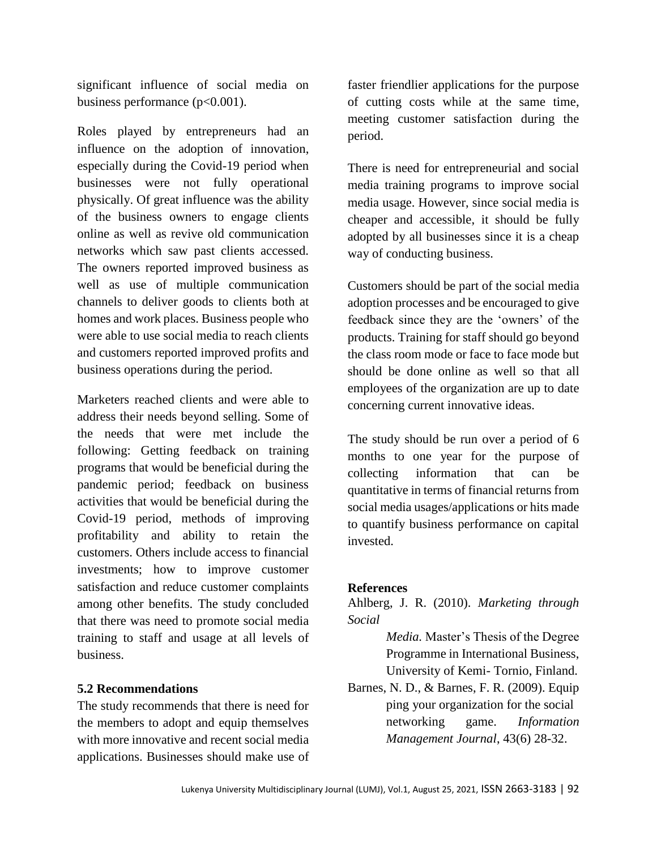significant influence of social media on business performance (p<0.001).

Roles played by entrepreneurs had an influence on the adoption of innovation, especially during the Covid-19 period when businesses were not fully operational physically. Of great influence was the ability of the business owners to engage clients online as well as revive old communication networks which saw past clients accessed. The owners reported improved business as well as use of multiple communication channels to deliver goods to clients both at homes and work places. Business people who were able to use social media to reach clients and customers reported improved profits and business operations during the period.

Marketers reached clients and were able to address their needs beyond selling. Some of the needs that were met include the following: Getting feedback on training programs that would be beneficial during the pandemic period; feedback on business activities that would be beneficial during the Covid-19 period, methods of improving profitability and ability to retain the customers. Others include access to financial investments; how to improve customer satisfaction and reduce customer complaints among other benefits. The study concluded that there was need to promote social media training to staff and usage at all levels of business.

## **5.2 Recommendations**

The study recommends that there is need for the members to adopt and equip themselves with more innovative and recent social media applications. Businesses should make use of faster friendlier applications for the purpose of cutting costs while at the same time, meeting customer satisfaction during the period.

There is need for entrepreneurial and social media training programs to improve social media usage. However, since social media is cheaper and accessible, it should be fully adopted by all businesses since it is a cheap way of conducting business.

Customers should be part of the social media adoption processes and be encouraged to give feedback since they are the 'owners' of the products. Training for staff should go beyond the class room mode or face to face mode but should be done online as well so that all employees of the organization are up to date concerning current innovative ideas.

The study should be run over a period of 6 months to one year for the purpose of collecting information that can be quantitative in terms of financial returns from social media usages/applications or hits made to quantify business performance on capital invested.

## **References**

Ahlberg, J. R. (2010). *Marketing through Social* 

> *Media.* Master's Thesis of the Degree Programme in International Business, University of Kemi- Tornio, Finland.

Barnes, N. D., & Barnes, F. R. (2009). Equip ping your organization for the social networking game. *Information Management Journal*, 43(6) 28-32.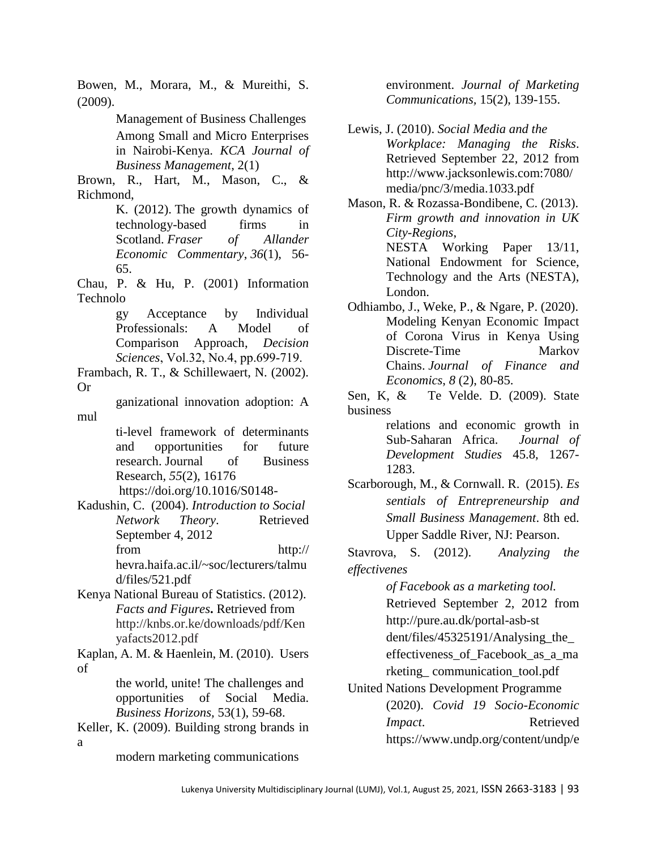Bowen, M., Morara, M., & Mureithi, S. (2009).

> Management of Business Challenges Among Small and Micro Enterprises in Nairobi-Kenya. *KCA Journal of Business Management*, 2(1)

Brown, R., Hart, M., Mason, C., & Richmond,

K. (2012). The growth dynamics of technology-based firms in Scotland. *Fraser of Allander Economic Commentary*, *36*(1), 56- 65.

Chau, P. & Hu, P. (2001) Information Technolo

> gy Acceptance by Individual Professionals: A Model of Comparison Approach, *Decision Sciences*, Vol.32, No.4, pp.699‐719.

Frambach, R. T., & Schillewaert, N. (2002). Or

ganizational innovation adoption: A mul

> ti-level framework of determinants and opportunities for future research. Journal of Business Research*, 55*(2), 16176 [https://doi.org/10.1016/S0148-](https://psycnet.apa.org/doi/10.1016/S0148-2963(00)00152-1)

Kadushin, C. (2004). *Introduction to Social Network Theory*. Retrieved September 4, 2012 from http:// hevra.haifa.ac.il/~soc/lecturers/talmu d/files/521.pdf

Kenya National Bureau of Statistics. (2012). *Facts and Figures***.** Retrieved from http://knbs.or.ke/downloads/pdf/Ken yafacts2012.pdf

Kaplan, A. M. & Haenlein, M. (2010). Users of

> the world, unite! The challenges and opportunities of Social Media. *Business Horizons,* 53(1), 59-68.

Keller, K. (2009). Building strong brands in a

modern marketing communications

environment. *Journal of Marketing Communications,* 15(2), 139-155.

Lewis, J. (2010). *Social Media and the Workplace: Managing the Risks*. Retrieved September 22, 2012 from http://www.jacksonlewis.com:7080/ media/pnc/3/media.1033.pdf

Mason, R. & Rozassa-Bondibene, C. (2013). *Firm growth and innovation in UK City-Regions*, NESTA Working Paper 13/11, National Endowment for Science, Technology and the Arts (NESTA), London.

Odhiambo, J., Weke, P., & Ngare, P. (2020). Modeling Kenyan Economic Impact of Corona Virus in Kenya Using Discrete-Time Markov Chains. *Journal of Finance and Economics*, *8* (2), 80-85.

Sen, K, & Te Velde. D. (2009). State business

relations and economic growth in Sub-Saharan Africa. *Journal of Development Studies* 45.8, 1267- 1283.

Scarborough, M., & Cornwall. R. (2015). *Es sentials of Entrepreneurship and Small Business Management*. 8th ed. Upper Saddle River, NJ: Pearson.

Stavrova, S. (2012). *[Analyzing the](file:///G:/MORGAN%20THESIS/Analysing%20the%20effectiveness%20of%20Facebook%20as%20a%20marketing%20tool)  [effectivenes](file:///G:/MORGAN%20THESIS/Analysing%20the%20effectiveness%20of%20Facebook%20as%20a%20marketing%20tool)*

*of Facebook [as a marketing tool.](file:///G:/MORGAN%20THESIS/Analysing%20the%20effectiveness%20of%20Facebook%20as%20a%20marketing%20tool)*

Retrieved September 2, 2012 from

<http://pure.au.dk/portal-asb-st>

dent/files/45325191/Analysing the

effectiveness\_of\_Facebook\_as\_a\_ma rketing\_ communication\_tool.pdf

United Nations Development Programme (2020). *Covid 19 Socio-Economic Impact*. Retrieved [https://www.undp.org/content/undp/e](https://www.undp.org/content/undp/en/home/coronavirus/socio-economic-impact-of-covid-19.html)